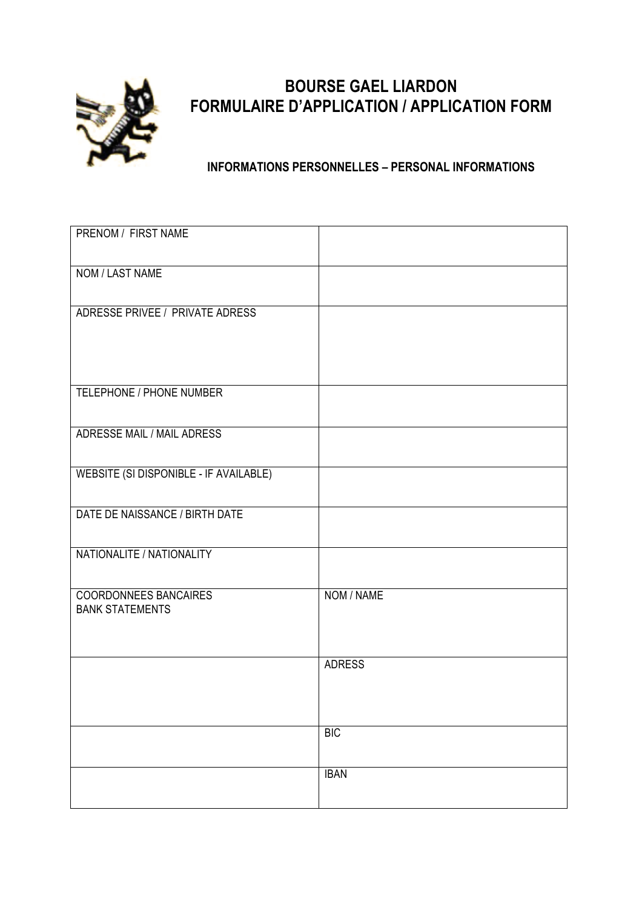

## **BOURSE GAEL LIARDON FORMULAIRE D'APPLICATION / APPLICATION FORM**

#### **INFORMATIONS PERSONNELLES – PERSONAL INFORMATIONS**

| PRENOM / FIRST NAME                                    |                |
|--------------------------------------------------------|----------------|
| NOM / LAST NAME                                        |                |
| <b>ADRESSE PRIVEE / PRIVATE ADRESS</b>                 |                |
| TELEPHONE / PHONE NUMBER                               |                |
| ADRESSE MAIL / MAIL ADRESS                             |                |
| <b>WEBSITE (SI DISPONIBLE - IF AVAILABLE)</b>          |                |
| DATE DE NAISSANCE / BIRTH DATE                         |                |
| NATIONALITE / NATIONALITY                              |                |
| <b>COORDONNEES BANCAIRES</b><br><b>BANK STATEMENTS</b> | NOM / NAME     |
|                                                        | <b>ADRESS</b>  |
|                                                        | $\mathsf{BIC}$ |
|                                                        | <b>IBAN</b>    |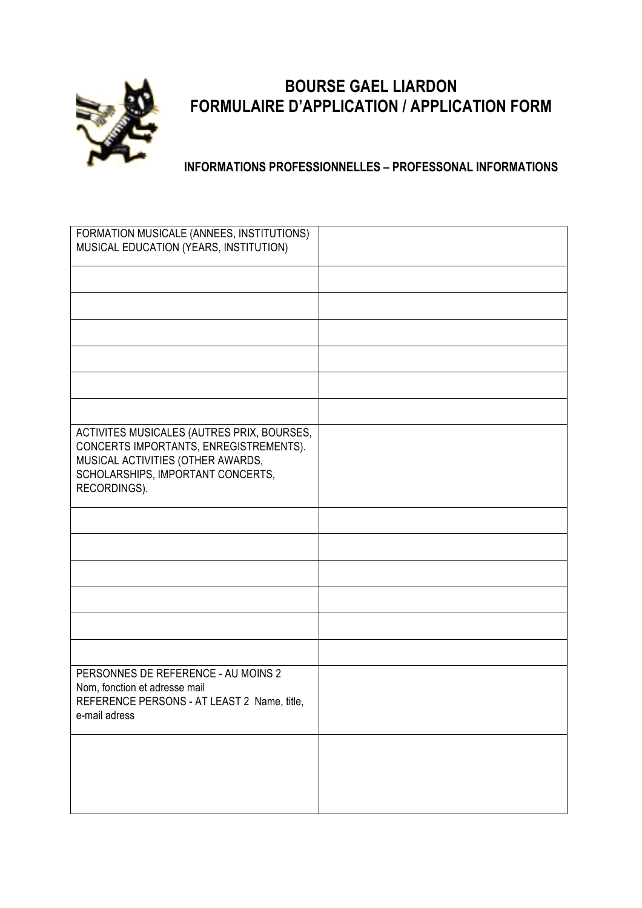

## **BOURSE GAEL LIARDON FORMULAIRE D'APPLICATION / APPLICATION FORM**

**INFORMATIONS PROFESSIONNELLES – PROFESSONAL INFORMATIONS**

| FORMATION MUSICALE (ANNEES, INSTITUTIONS)<br>MUSICAL EDUCATION (YEARS, INSTITUTION)                                                                                            |  |
|--------------------------------------------------------------------------------------------------------------------------------------------------------------------------------|--|
|                                                                                                                                                                                |  |
|                                                                                                                                                                                |  |
|                                                                                                                                                                                |  |
|                                                                                                                                                                                |  |
|                                                                                                                                                                                |  |
|                                                                                                                                                                                |  |
| ACTIVITES MUSICALES (AUTRES PRIX, BOURSES,<br>CONCERTS IMPORTANTS, ENREGISTREMENTS).<br>MUSICAL ACTIVITIES (OTHER AWARDS,<br>SCHOLARSHIPS, IMPORTANT CONCERTS,<br>RECORDINGS). |  |
|                                                                                                                                                                                |  |
|                                                                                                                                                                                |  |
|                                                                                                                                                                                |  |
|                                                                                                                                                                                |  |
|                                                                                                                                                                                |  |
|                                                                                                                                                                                |  |
| PERSONNES DE REFERENCE - AU MOINS 2<br>Nom, fonction et adresse mail<br>REFERENCE PERSONS - AT LEAST 2 Name, title,<br>e-mail adress                                           |  |
|                                                                                                                                                                                |  |
|                                                                                                                                                                                |  |
|                                                                                                                                                                                |  |